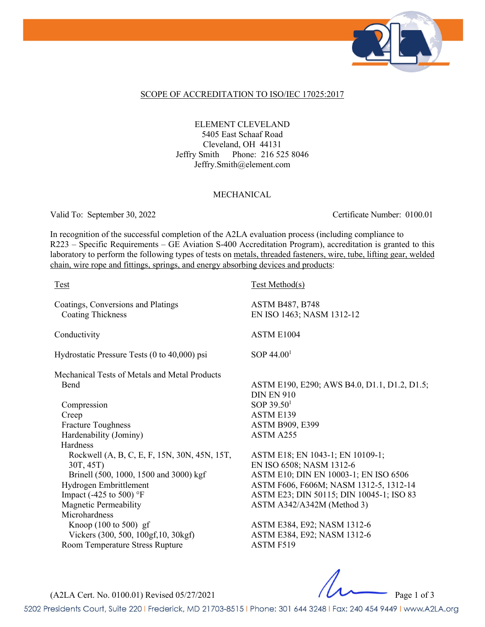

### SCOPE OF ACCREDITATION TO ISO/IEC 17025:2017

ELEMENT CLEVELAND 5405 East Schaaf Road Cleveland, OH 44131 Jeffry Smith Phone: 216 525 8046 Jeffry.Smith@element.com

#### MECHANICAL

Valid To: September 30, 2022 Certificate Number: 0100.01

In recognition of the successful completion of the A2LA evaluation process (including compliance to R223 – Specific Requirements – GE Aviation S-400 Accreditation Program), accreditation is granted to this laboratory to perform the following types of tests on metals, threaded fasteners, wire, tube, lifting gear, welded chain, wire rope and fittings, springs, and energy absorbing devices and products:

| <b>Test</b>                                                    | <b>Test Method(s)</b>                                             |
|----------------------------------------------------------------|-------------------------------------------------------------------|
| Coatings, Conversions and Platings<br><b>Coating Thickness</b> | <b>ASTM B487, B748</b><br>EN ISO 1463; NASM 1312-12               |
| Conductivity                                                   | ASTM E1004                                                        |
| Hydrostatic Pressure Tests (0 to 40,000) psi                   | SOP $44.001$                                                      |
| Mechanical Tests of Metals and Metal Products                  |                                                                   |
| <b>Bend</b>                                                    | ASTM E190, E290; AWS B4.0, D1.1, D1.2, D1.5;<br><b>DIN EN 910</b> |
| Compression                                                    | SOP $39.501$                                                      |
| Creep                                                          | ASTM E139                                                         |
| <b>Fracture Toughness</b>                                      | <b>ASTM B909, E399</b>                                            |
| Hardenability (Jominy)                                         | ASTM A255                                                         |
| Hardness                                                       |                                                                   |
| Rockwell (A, B, C, E, F, 15N, 30N, 45N, 15T,                   | ASTM E18; EN 1043-1; EN 10109-1;                                  |
| 30T, 45T)                                                      | EN ISO 6508; NASM 1312-6                                          |
| Brinell (500, 1000, 1500 and 3000) kgf                         | ASTM E10; DIN EN 10003-1; EN ISO 6506                             |
| Hydrogen Embrittlement                                         | ASTM F606, F606M; NASM 1312-5, 1312-14                            |
| Impact (-425 to 500) $\textdegree$ F                           | ASTM E23; DIN 50115; DIN 10045-1; ISO 83                          |
| <b>Magnetic Permeability</b>                                   | ASTM A342/A342M (Method 3)                                        |
| Microhardness                                                  |                                                                   |
| Knoop $(100 \text{ to } 500)$ gf                               | ASTM E384, E92; NASM 1312-6                                       |
| Vickers (300, 500, 100gf, 10, 30kgf)                           | ASTM E384, E92; NASM 1312-6                                       |
| Room Temperature Stress Rupture                                | <b>ASTM F519</b>                                                  |

(A2LA Cert. No. 0100.01) Revised 05/27/2021 Page 1 of 3

5202 Presidents Court, Suite 220 | Frederick, MD 21703-8515 | Phone: 301 644 3248 | Fax: 240 454 9449 | www.A2LA.org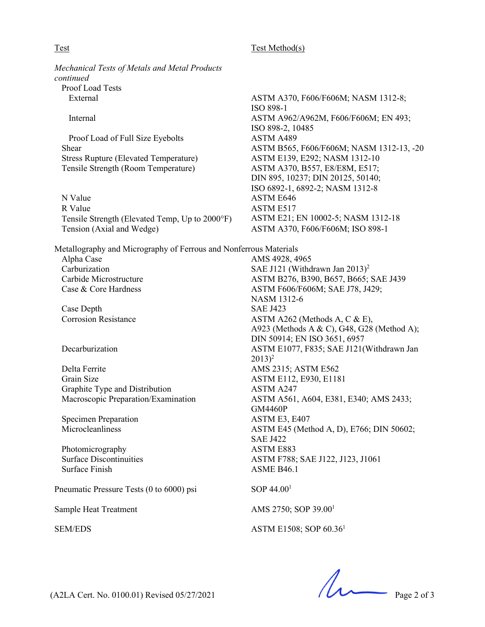### Test Method(s)

*Mechanical Tests of Metals and Metal Products*  Proof Load Tests

Proof Load of Full Size Eyebolts ASTM A489 Stress Rupture (Elevated Temperature) ASTM E139, E292; NASM 1312-10 Tensile Strength (Room Temperature) ASTM A370, B557, E8/E8M, E517;

N Value ASTM E646 R Value ASTM E517 Tensile Strength (Elevated Temp, Up to 2000°F) ASTM E21; EN 10002-5; NASM 1312-18<br>Tension (Axial and Wedge) ASTM A370, F606/F606M; ISO 898-1

Metallography and Micrography of Ferrous and Nonferrous Materials Alpha Case **AMS** 4928, 4965

Case Depth SAE J423

Delta Ferrite AMS 2315; ASTM E562 Grain Size **ASTM E112, E930, E1181** Graphite Type and Distribution ASTM A247

Specimen Preparation ASTM E3, E407

Photomicrography ASTM E883 Surface Finish ASME B46.1

Pneumatic Pressure Tests (0 to 6000) psi  $\text{SOP }44.00^1$ 

Sample Heat Treatment AMS 2750; SOP 39.00<sup>1</sup>

External ASTM A370, F606/F606M; NASM 1312-8; ISO 898-1 Internal ASTM A962/A962M, F606/F606M; EN 493; ISO 898-2, 10485 Shear ASTM B565, F606/F606M; NASM 1312-13, -20 DIN 895, 10237; DIN 20125, 50140; ISO 6892-1, 6892-2; NASM 1312-8 ASTM A370, F606/F606M; ISO 898-1

Carburization SAE J121 (Withdrawn Jan 2013)<sup>2</sup> Carbide Microstructure ASTM B276, B390, B657, B665; SAE J439 Case & Core Hardness ASTM F606/F606M; SAE J78, J429; NASM 1312-6 Corrosion Resistance ASTM A262 (Methods A, C & E), A923 (Methods A & C), G48, G28 (Method A); DIN 50914; EN ISO 3651, 6957 Decarburization ASTM E1077, F835; SAE J121(Withdrawn Jan  $2013)^2$ Macroscopic Preparation/Examination ASTM A561, A604, E381, E340; AMS 2433; GM4460P Microcleanliness ASTM E45 (Method A, D), E766; DIN 50602; SAE J422 Surface Discontinuities ASTM F788; SAE J122, J123, J1061

SEM/EDS ASTM E1508; SOP 60.36<sup>1</sup>

 $(A2LA$  Cert. No. 0100.01) Revised 05/27/2021 Page 2 of 3

*continued*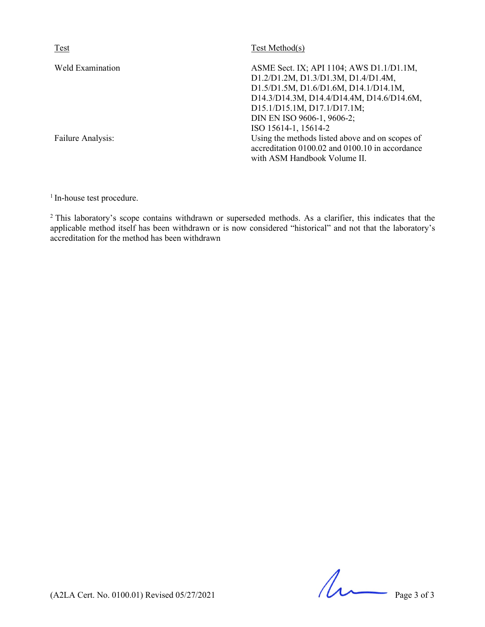| Test              | Test Method(s)                                                                                                                                                                                                                     |
|-------------------|------------------------------------------------------------------------------------------------------------------------------------------------------------------------------------------------------------------------------------|
| Weld Examination  | ASME Sect. IX; API 1104; AWS D1.1/D1.1M,<br>D1.2/D1.2M, D1.3/D1.3M, D1.4/D1.4M,<br>D1.5/D1.5M, D1.6/D1.6M, D14.1/D14.1M,<br>D14.3/D14.3M, D14.4/D14.4M, D14.6/D14.6M,<br>D15.1/D15.1M, D17.1/D17.1M;<br>DIN EN ISO 9606-1, 9606-2; |
| Failure Analysis: | ISO 15614-1, 15614-2<br>Using the methods listed above and on scopes of<br>accreditation 0100.02 and 0100.10 in accordance<br>with ASM Handbook Volume II.                                                                         |

<sup>1</sup> In-house test procedure.

<sup>2</sup> This laboratory's scope contains withdrawn or superseded methods. As a clarifier, this indicates that the applicable method itself has been withdrawn or is now considered "historical" and not that the laboratory's accreditation for the method has been withdrawn

 $(A2LA$  Cert. No. 0100.01) Revised 05/27/2021 Page 3 of 3